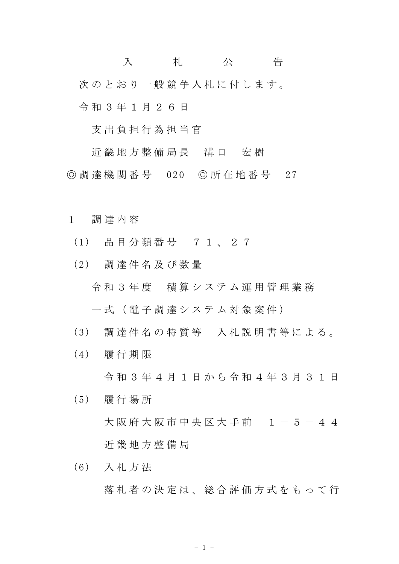入 札 公 告 次のとおり一般競争入札に付します。 令 和 3 年 1 月 2 6 日

支 出 負 担 行 為 担 当 官

近 畿 地 方 整 備 局 長 溝 口 宏 樹 ◎ 調 達 機 関 番 号 020 ◎ 所 在 地 番 号 27

- 1 調 達 内 容
	- (1) 品 目 分 類 番 号 7 1 、 2 7
	- (2) 調 達 件 名 及 び 数 量
		- 令 和 3 年 度 積 算 シ ス テ ム 運 用 管 理 業 務

一 式 ( 電 子 調 達 シ ス テ ム 対 象 案 件 )

- (3) 調 達 件 名 の 特 質 等 入 札 説 明 書 等 に よ る 。
- (4) 履 行 期 限

令 和 3 年 4 月 1 日 か ら 令 和 4 年 3 月 3 1 日

- (5) 履 行 場 所
	- 大阪府大阪市中央区大手前 1-5-44 近 畿 地 方 整 備 局
- (6) 入 札 方 法 落 札 者 の 決 定 は 、 総 合 評 価 方 式 を も っ て 行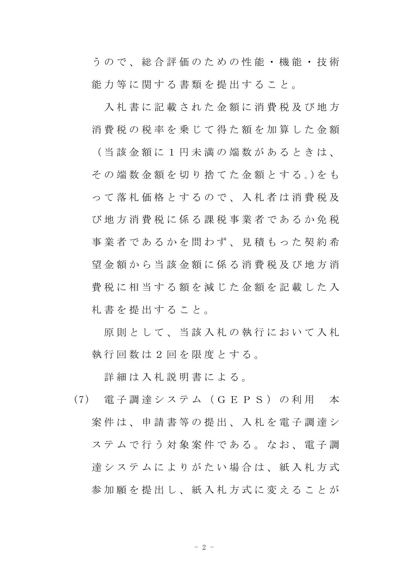う の で 、 総 合 評 価 の た め の 性 能 ・ 機 能 ・ 技 術 能 力 等 に 関 す る 書 類 を 提 出 す る こ と 。

入 札 書 に 記 載 さ れ た 金 額 に 消 費 税 及 び 地 方 消費税の税率を乗じて得た額を加算した金額 ( 当 該 金 額 に 1 円 未 満 の 端 数 が あ る と き は 、 そ の 端 数 金 額 を 切 り 捨 て た 金 額 と す る 。)を も っ て 落 札 価 格 と す る の で 、 入 札 者 は 消 費 税 及 び 地 方 消 費 税 に 係 る 課 税 事 業 者 で あ る か 免 税 事業者であるかを問わず、見積もった契約希 望金額から当該金額に係る消費税及び地方消 費税に相当する額を減じた金額を記載した入 札 書 を 提 出 す る こ と 。

原則 と し て 、 当 該 入 札 の 執 行 に お い て 入 札 執 行 回 数 は 2 回 を 限 度 と す る 。

詳 細 は 入 札 説 明 書 に よ る 。

(7) 電 子 調 達 シ ス テ ム ( G E P S ) の 利 用 本 案 件 は 、 申 請 書 等 の 提 出 、 入 札 を 電 子 調 達 シ ステムで行う対象案件である。なお、電子調 達 シ ス テ ム に よ り が た い 場 合 は 、 紙 入 札 方 式 参加願を提出し、紙入札方式に変えることが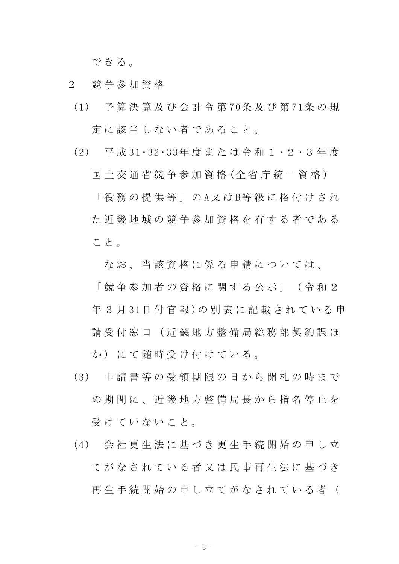できる。

- 2 競 争 参 加 資 格
- (1) 予 算 決 算 及 び 会 計 令 第 70条 及 び 第 71条 の 規 定 に 該 当 し な い 者 で あ る こ と 。
- (2) 平 成 31・32・33年 度 ま た は 令 和 1 ・2 ・3 年 度

国 土 交 通 省 競 争 参 加 資 格 (全 省 庁 統 一 資 格 ) 「 役 務 の 提 供 等 」 の A 又 は B 等 級 に 格 付 け さ れ た近畿地域の競争参加資格を有する者である こと。

なお、当該資格に係る申請については、

「 競 争 参 加 者 の 資 格 に 関 す る 公 示 」 ( 令 和 2 年 3 月 31日 付 官 報 ) の 別 表 に 記 載 さ れ て い る 申 請 受 付 窓 口 ( 近 畿 地 方 整 備 局 総 務 部 契 約 課 ほ か) にて 随時 受 け 付 け て い る 。

- (3) 申 請 書 等 の 受 領 期 限 の 日 か ら 開 札 の 時 ま で の期間に、近畿地方整備局長から指名停止を 受けていないこと。
- (4) 会 社 更 生 法 に 基 づ き 更 生 手 続 開 始 の 申 し 立 て が な さ れ て い る 者 又 は 民 事 再 生 法 に 基 づ き 再 生 手 続 開 始 の 申 し 立 て が な さ れ て い る 者 (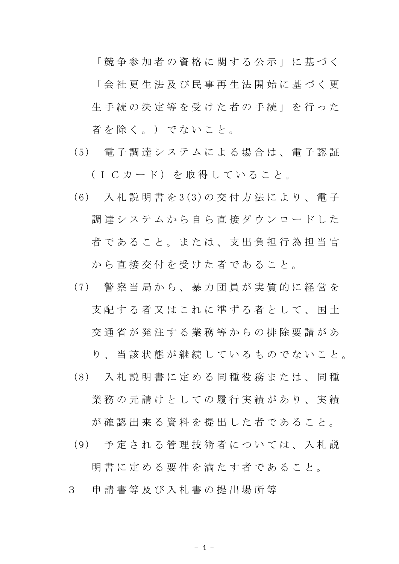「 競 争 参 加 者 の 資 格 に 関 す る 公 示 」 に 基 づ く 「 会 社 更 生 法 及 び 民 事 再 生 法 開 始 に 基 づ く 更 生手続の決定等を受けた者の手続」を行った 者を除く。)でないこと。

- (5) 電 子 調 達 シ ス テ ム に よ る 場 合 は 、 電 子 認 証 (ICカード) を取得していること。
- (6) 入 札 説 明 書 を 3(3)の 交 付 方 法 に よ り 、 電 子 調 達 シ ス テ ム か ら 自 ら 直 接 ダ ウ ン ロ ー ド し た 者であること。または、支出負担行為担当官 から直接交付を受けた者であること。
- (7) 警 察 当 局 か ら 、 暴 力 団 員 が 実 質 的 に 経 営 を 支 配 す る 者 又 は こ れ に 準 ず る 者 と し て 、 国 土 交 通 省 が 発 注 す る 業 務 等 か ら の 排 除 要 請 が あ り 、 当 該 状 態 が 継 続 し て い る も の で な い こ と 。
- (8) 入 札 説 明 書 に 定 め る 同 種 役 務 ま た は 、 同 種 業 務 の 元 請 け と し て の 履 行 実 績 が あ り 、 実 績 が確認出来る資料を提出した者であること。
- (9) 予 定 さ れ る 管 理 技 術 者 に つ い て は 、 入 札 説

明 書 に 定 め る 要 件 を 満 た す 者 で あ る こ と 。

3 申 請 書 等 及 び 入 札 書 の 提 出 場 所 等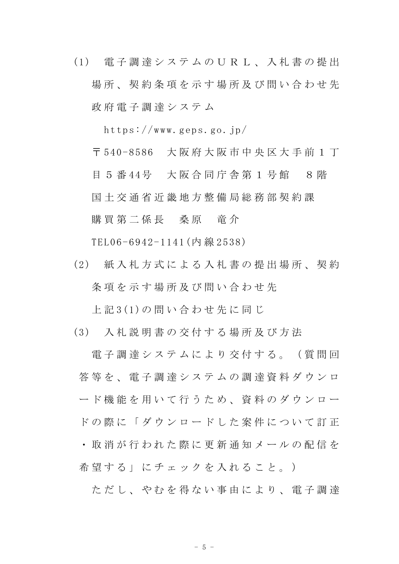(1) 電 子 調 達 シ ス テ ム の U R L 、 入 札 書 の 提 出 場所、契約条項を示す場所及び問い合わせ先 政 府 電 子 調 達 シ ス テ ム

https://www.geps.go.jp/

〒 540-8586 大 阪 府 大 阪 市 中 央 区 大 手 前 1 丁

目 5 番 44号 大阪合同庁舎第 1 号館 8 階 国 土 交 通 省 近 畿 地 方 整 備 局 総 務 部 契 約 課 購買 第 二 係 長 柔 原 一 竜 介

TEL06-6942-1141(内 線 2538)

(2) 紙 入 札 方 式 に よ る 入 札 書 の 提 出 場 所 、 契 約 条項を示す場所及び問い合わせ先

上 記 3(1)の 問 い 合 わ せ 先 に 同 じ

(3) 入 札 説 明 書 の 交 付 す る 場 所 及 び 方 法

電 子 調 達 シ ス テ ム に よ り 交 付 す る 。 ( 質 問 回  **答 等 を 、 雷 子 調 達 シ ス テ ム の 調 達 資 料 ダ ウ ン ロ** ード機能を用いて行うため、資料のダウンロー ドの際に「ダウンロードした案件について訂正 ・ 取 消 が 行 わ れ た 際 に 更 新 通 知 メ ー ル の 配 信 を 希望する」にチェックを入れること。)

ただし、やむを得ない事由により、電子調達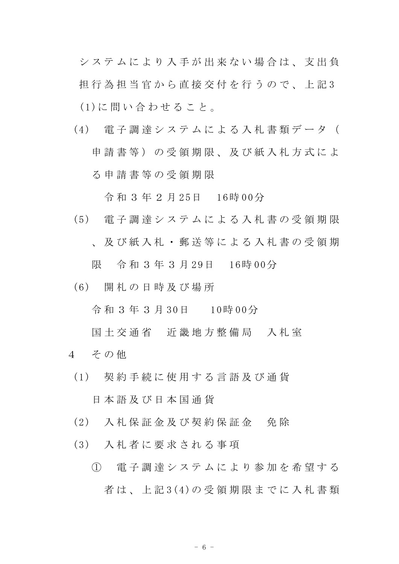シ ス テ ム に よ り 入 手 が 出 来 な い 場 合 は 、 支 出 負 担 行 為 担 当 官 か ら 直 接 交 付 を 行 う の で 、 上 記 3 (1)に 問 い 合 わ せ る こ と 。

(4) 電 子 調 達 シ ス テ ム に よ る 入 札 書 類 デ ー タ ( 申請書等)の受領期限、及び紙入札方式によ る 申 請 書 等 の 受 領 期 限

令 和 3 年 2 月 25日 16時 00分

- (5) 電 子 調 達 シ ス テ ム に よ る 入 札 書 の 受 領 期 限 、 及 び 紙 入 札 ・ 郵 送 等 に よ る 入 札 書 の 受 領 期 限 令 和 3 年 3 月 29日 16時 00分
- (6) 開 札 の 日 時 及 び 場 所

令 和 3 年 3 月 30日 10時 00分

- 国土交通省 近畿地方整備局 入札室
- 4 その他
- (1) 契 約 手 続 に 使 用 す る 言 語 及 び 通 貨

日 本 語 及 び 日 本 国 通 貨

- (2) 入 札 保 証 金 及 び 契 約 保 証 金 免 除
- (3) 入 札 者 に 要 求 さ れ る 事 項
	- ① 電 子 調 達 シ ス テ ム に よ り 参 加 を 希 望 す る 者 は 、 上 記 3(4)の 受 領 期 限 ま で に 入 札 書 類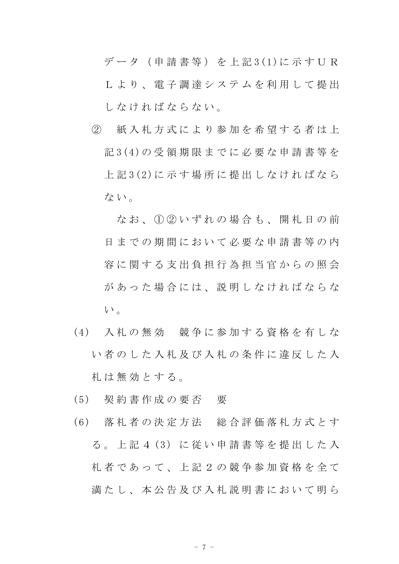デ ー タ ( 申 請 書 等 ) を 上 記 3(1)に 示 す U R L よ り 、 電 子 調 達 シ ス テ ム を 利 用 し て 提 出 しなければならない。

② 紙 入 札 方 式 に よ り 参 加 を 希 望 す る 者 は 上 記 3(4)の 受 領 期 限 ま で に 必 要 な 申 請 書 等 を 上 記 3(2)に 示 す 場 所 に 提 出 し な け れ ば な ら ない。

なお、1020いずれの場合も、開札日の前 日までの期間において必要な申請書等の内 容に関する支出負担行為担当官からの照会 があった場合には、説明しなければならな い。

- (4) 入 札 の 無 効 競 争 に 参 加 す る 資 格 を 有 し な い 者 の し た 入 札 及 び 入 札 の 条 件 に 違 反 し た 入 札 は 無 効 と す る 。
- (5) 契 約 書 作 成 の 要 否 要
- (6) 落 札 者 の 決 定 方 法 総 合 評 価 落 札 方 式 と す る 。 上 記 4 (3) に 従 い 申 請 書 等 を 提 出 し た 入 札者 で あ っ て 、 上 記 2 の 競 争 参 加 資 格 を 全 て 満 た し、本 公 告 及 び 入 札 説 明 書 に お い て 明 ら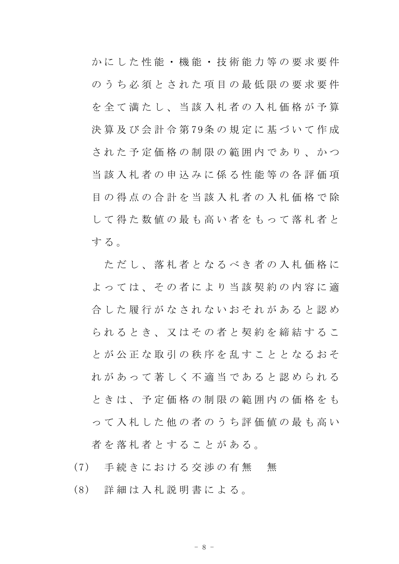か に し た 性 能 ・ 機 能 ・ 技 術 能 力 等 の 要 求 要 件 のうち必須とされた項目の最低限の要求要件 を全て満たし、当該入札者の入札価格が予算 決 算 及 び 会 計 令 第 79条 の 規 定 に 基 づ い て 作 成 された予定価格の制限の範囲内であり、かつ 当 該 入 札 者 の 申 込 み に 係 る 性 能 等 の 各 評 価 項 日の得点の合計を当該入札者の入札価格で除 し て 得 た 数 値 の 最 も 高 い 者 を も っ て 落 札 者 と する。

ただし、落札者となるべき者の入札価格に よっては、その者により当該契約の内容に適 合 した 履 行 が な さ れ な い お そ れ が あ る と 認 め られるとき、又はその者と契約を締結するこ と が 公 正 な 取 引 の 秩 序 を 乱 す こ と と な る お そ れ が あ っ て 著 し く 不 適 当 で あ る と 認 め ら れ る と き は 、 予 定 価 格 の 制 限 の 範 囲 内 の 価 格 を も っ て 入 札 し た 他 の 者 の う ち 評 価 値 の 最 も 高 い 者を落札者とすることがある。

(7) 手続きにおける交渉の有無 無

(8) 詳 細 は 入 札 説 明 書 に よ る 。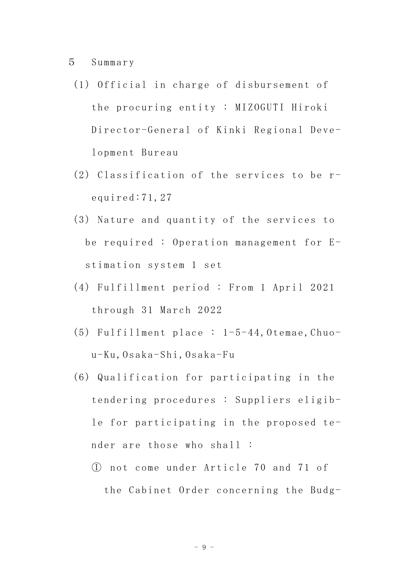## 5 Summary

- (1) Official in charge of disbursement of the procuring entity : MIZOGUTI Hiroki Director-General of Kinki Regional Development Bureau
- (2) Classification of the services to be required:71,27
- (3) Nature and quantity of the services to be required : Operation management for Estimation system 1 set
- (4) Fulfillment period : From 1 April 2021 through 31 March 2022
- $(5)$  Fulfillment place :  $1-5-44$ , Otemae, Chuou-Ku,Osaka-Shi,Osaka-Fu
- (6) Qualification for participating in the tendering procedures : Suppliers eligible for participating in the proposed tender are those who shall :
	- ① not come under Article 70 and 71 of the Cabinet Order concerning the Budg-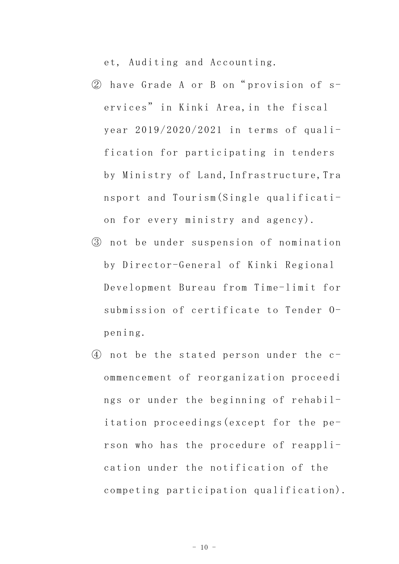et, Auditing and Accounting.

- ② have Grade A or B on" provision of services" in Kinki Area,in the fiscal year 2019/2020/2021 in terms of qualification for participating in tenders by Ministry of Land,Infrastructure,Tra nsport and Tourism(Single qualification for every ministry and agency).
- ③ not be under suspension of nomination by Director-General of Kinki Regional Development Bureau from Time-limit for submission of certificate to Tender Opening.
- ④ not be the stated person under the commencement of reorganization proceedi ngs or under the beginning of rehabilitation proceedings(except for the person who has the procedure of reapplication under the notification of the competing participation qualification).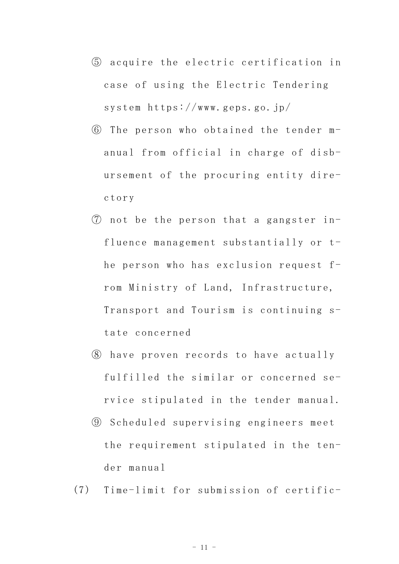- ⑤ acquire the electric certification in case of using the Electric Tendering system https://www.geps.go.jp/
- ⑥ The person who obtained the tender manual from official in charge of disbursement of the procuring entity directory
- ⑦ not be the person that a gangster influence management substantially or the person who has exclusion request from Ministry of Land, Infrastructure, Transport and Tourism is continuing state concerned
- ⑧ have proven records to have actually fulfilled the similar or concerned service stipulated in the tender manual.
- ⑨ Scheduled supervising engineers meet the requirement stipulated in the tender manual
- (7) Time-limit for submission of certific-